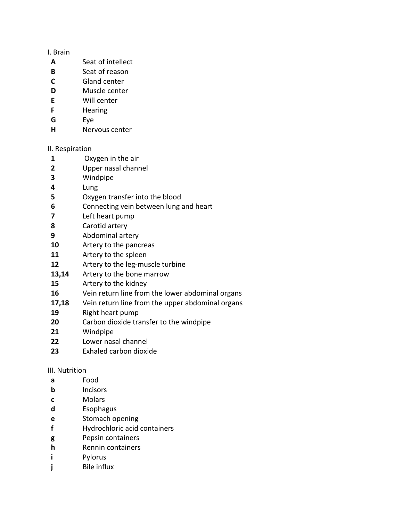## I. Brain

- **A** Seat of intellect
- **B** Seat of reason
- **C** Gland center
- **D Muscle center**
- **E** Will center
- **F** Hearing
- **G** Eye
- **H** Nervous center

## II. Respiration

- **1** Oxygen in the air
- **2** Upper nasal channel
- **3** Windpipe
- **4** Lung
- **5** Oxygen transfer into the blood
- **6** Connecting vein between lung and heart
- **7** Left heart pump
- **8** Carotid artery
- **9** Abdominal artery
- **10** Artery to the pancreas
- **11** Artery to the spleen
- **12** Artery to the leg-muscle turbine
- **13,14** Artery to the bone marrow
- **15** Artery to the kidney
- **16** Vein return line from the lower abdominal organs
- **17,18** Vein return line from the upper abdominal organs
- **19** Right heart pump
- **20** Carbon dioxide transfer to the windpipe
- **21** Windpipe
- **22** Lower nasal channel
- **23** Exhaled carbon dioxide

## III. Nutrition

- **a** Food
- **b** Incisors
- **c** Molars
- **d** Esophagus
- **e** Stomach opening
- **f** Hydrochloric acid containers
- **g** Pepsin containers
- **h** Rennin containers
- **i** Pylorus
- **j** Bile influx